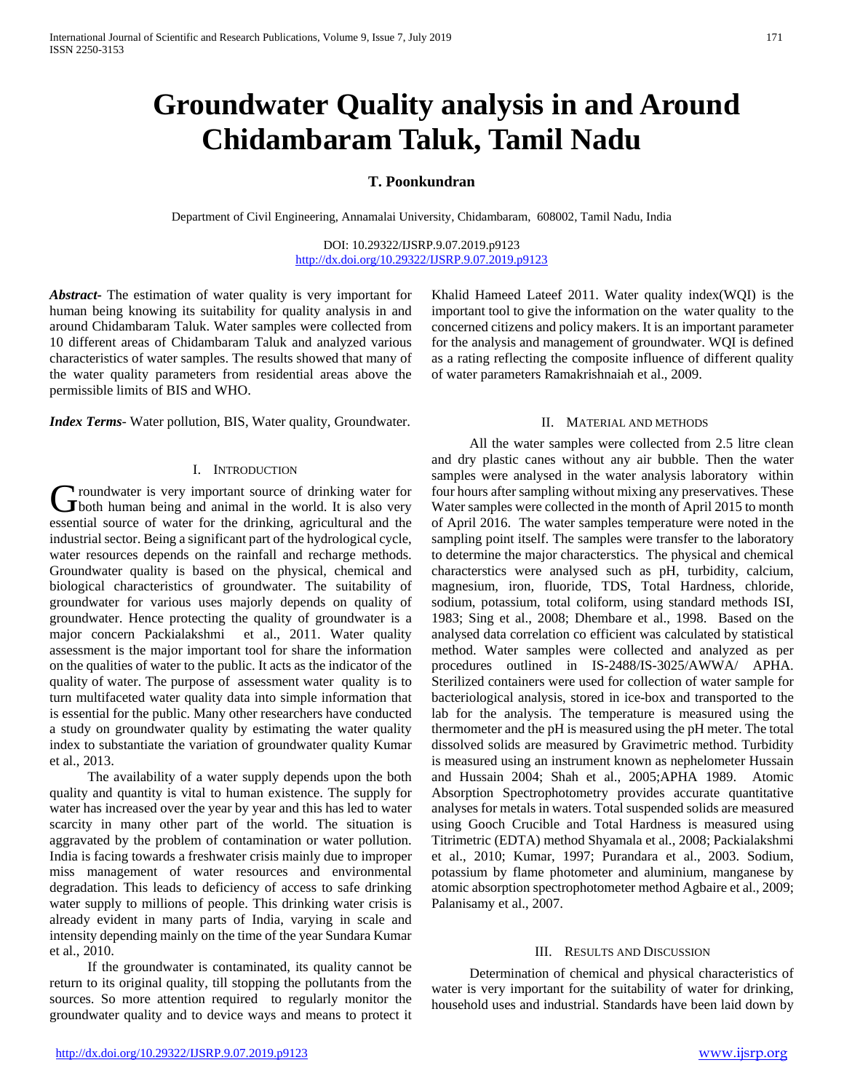# **Groundwater Quality analysis in and Around Chidambaram Taluk, Tamil Nadu**

## **T. Poonkundran**

Department of Civil Engineering, Annamalai University, Chidambaram, 608002, Tamil Nadu, India

DOI: 10.29322/IJSRP.9.07.2019.p9123 <http://dx.doi.org/10.29322/IJSRP.9.07.2019.p9123>

*Abstract***-** The estimation of water quality is very important for human being knowing its suitability for quality analysis in and around Chidambaram Taluk. Water samples were collected from 10 different areas of Chidambaram Taluk and analyzed various characteristics of water samples. The results showed that many of the water quality parameters from residential areas above the permissible limits of BIS and WHO.

*Index Terms*- Water pollution, BIS, Water quality, Groundwater.

## I. INTRODUCTION

**I** roundwater is very important source of drinking water for Groundwater is very important source of drinking water for both human being and animal in the world. It is also very essential source of water for the drinking, agricultural and the industrial sector. Being a significant part of the hydrological cycle, water resources depends on the rainfall and recharge methods. Groundwater quality is based on the physical, chemical and biological characteristics of groundwater. The suitability of groundwater for various uses majorly depends on quality of groundwater. Hence protecting the quality of groundwater is a major concern Packialakshmi et al., 2011. Water quality assessment is the major important tool for share the information on the qualities of water to the public. It acts as the indicator of the quality of water. The purpose of assessment water quality is to turn multifaceted water quality data into simple information that is essential for the public. Many other researchers have conducted a study on groundwater quality by estimating the water quality index to substantiate the variation of groundwater quality Kumar et al., 2013.

 The availability of a water supply depends upon the both quality and quantity is vital to human existence. The supply for water has increased over the year by year and this has led to water scarcity in many other part of the world. The situation is aggravated by the problem of contamination or water pollution. India is facing towards a freshwater crisis mainly due to improper miss management of water resources and environmental degradation. This leads to deficiency of access to safe drinking water supply to millions of people. This drinking water crisis is already evident in many parts of India, varying in scale and intensity depending mainly on the time of the year Sundara Kumar et al., 2010.

 If the groundwater is contaminated, its quality cannot be return to its original quality, till stopping the pollutants from the sources. So more attention required to regularly monitor the groundwater quality and to device ways and means to protect it

Khalid Hameed Lateef 2011. Water quality index(WQI) is the important tool to give the information on the water quality to the concerned citizens and policy makers. It is an important parameter for the analysis and management of groundwater. WQI is defined as a rating reflecting the composite influence of different quality of water parameters Ramakrishnaiah et al., 2009.

#### II. MATERIAL AND METHODS

 All the water samples were collected from 2.5 litre clean and dry plastic canes without any air bubble. Then the water samples were analysed in the water analysis laboratory within four hours after sampling without mixing any preservatives. These Water samples were collected in the month of April 2015 to month of April 2016. The water samples temperature were noted in the sampling point itself. The samples were transfer to the laboratory to determine the major characterstics. The physical and chemical characterstics were analysed such as pH, turbidity, calcium, magnesium, iron, fluoride, TDS, Total Hardness, chloride, sodium, potassium, total coliform, using standard methods ISI, 1983; Sing et al., 2008; Dhembare et al., 1998. Based on the analysed data correlation co efficient was calculated by statistical method. Water samples were collected and analyzed as per procedures outlined in IS-2488/IS-3025/AWWA/ APHA. Sterilized containers were used for collection of water sample for bacteriological analysis, stored in ice-box and transported to the lab for the analysis. The temperature is measured using the thermometer and the pH is measured using the pH meter. The total dissolved solids are measured by Gravimetric method. Turbidity is measured using an instrument known as nephelometer Hussain and Hussain 2004; Shah et al., 2005;APHA 1989. Atomic Absorption Spectrophotometry provides accurate quantitative analyses for metals in waters. Total suspended solids are measured using Gooch Crucible and Total Hardness is measured using Titrimetric (EDTA) method Shyamala et al., 2008; Packialakshmi et al., 2010; Kumar, 1997; Purandara et al., 2003. Sodium, potassium by flame photometer and aluminium, manganese by atomic absorption spectrophotometer method Agbaire et al., 2009; Palanisamy et al., 2007.

## III. RESULTS AND DISCUSSION

 Determination of chemical and physical characteristics of water is very important for the suitability of water for drinking, household uses and industrial. Standards have been laid down by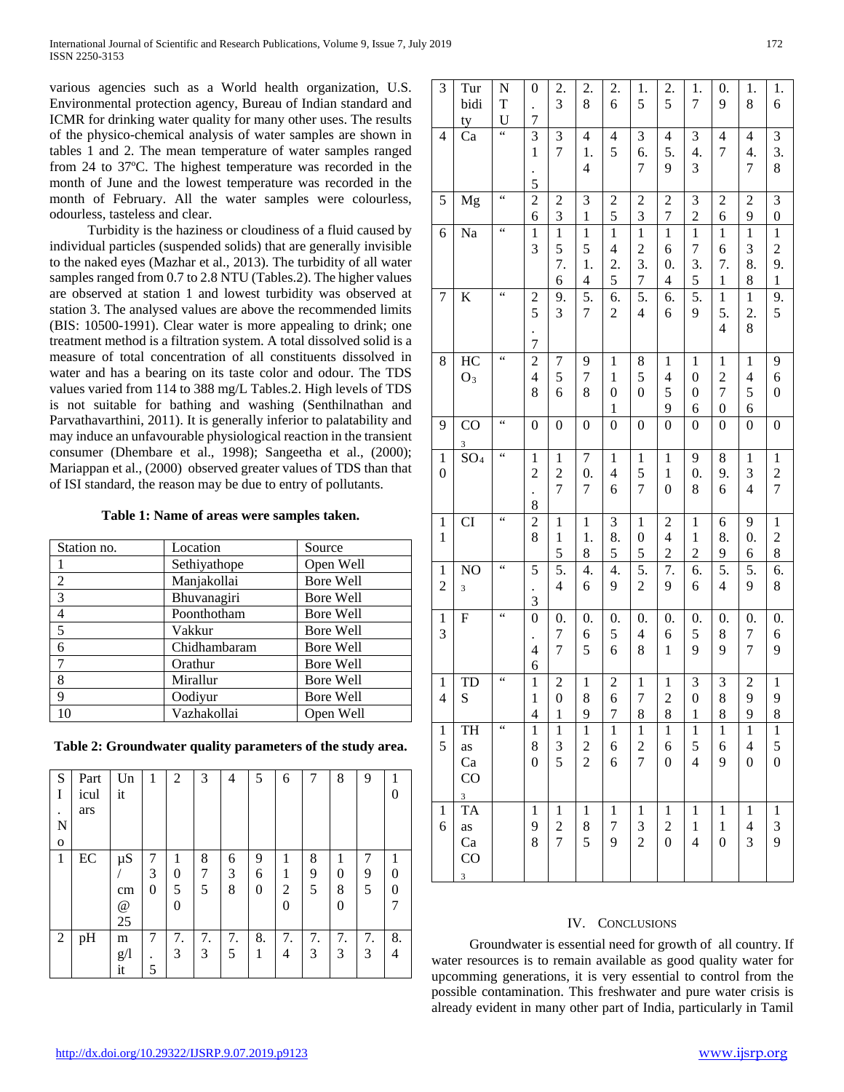various agencies such as a World health organization, U.S. Environmental protection agency, Bureau of Indian standard and ICMR for drinking water quality for many other uses. The results of the physico-chemical analysis of water samples are shown in tables 1 and 2. The mean temperature of water samples ranged from 24 to 37ºC. The highest temperature was recorded in the month of June and the lowest temperature was recorded in the month of February. All the water samples were colourless, odourless, tasteless and clear.

 Turbidity is the haziness or cloudiness of a fluid caused by individual particles (suspended solids) that are generally invisible to the naked eyes (Mazhar et al., 2013). The turbidity of all water samples ranged from 0.7 to 2.8 NTU (Tables.2). The higher values are observed at station 1 and lowest turbidity was observed at station 3. The analysed values are above the recommended limits (BIS: 10500-1991). Clear water is more appealing to drink; one treatment method is a filtration system. A total dissolved solid is a measure of total concentration of all constituents dissolved in water and has a bearing on its taste color and odour. The TDS values varied from 114 to 388 mg/L Tables.2. High levels of TDS is not suitable for bathing and washing (Senthilnathan and Parvathavarthini, 2011). It is generally inferior to palatability and may induce an unfavourable physiological reaction in the transient consumer (Dhembare et al., 1998); Sangeetha et al., (2000); Mariappan et al., (2000) observed greater values of TDS than that of ISI standard, the reason may be due to entry of pollutants.

#### **Table 1: Name of areas were samples taken.**

| Station no.    | Location     | Source           |
|----------------|--------------|------------------|
|                | Sethiyathope | Open Well        |
| $\mathfrak{D}$ | Manjakollai  | <b>Bore Well</b> |
| 3              | Bhuvanagiri  | Bore Well        |
| $\overline{4}$ | Poonthotham  | Bore Well        |
| 5              | Vakkur       | Bore Well        |
| 6              | Chidhambaram | <b>Bore Well</b> |
| 7              | Orathur      | <b>Bore Well</b> |
| 8              | Mirallur     | Bore Well        |
| $\mathbf Q$    | Oodiyur      | <b>Bore Well</b> |
| 10             | Vazhakollai  | Open Well        |

**Table 2: Groundwater quality parameters of the study area.**

| S         | Part | Un              |   | $\overline{2}$ | 3  | 4  | 5  | 6              | 7  | 8  | 9  |    |
|-----------|------|-----------------|---|----------------|----|----|----|----------------|----|----|----|----|
| I         | icul | it              |   |                |    |    |    |                |    |    |    | 0  |
| $\bullet$ | ars  |                 |   |                |    |    |    |                |    |    |    |    |
| N         |      |                 |   |                |    |    |    |                |    |    |    |    |
| O         |      |                 |   |                |    |    |    |                |    |    |    |    |
| 1         | EC   | $\mu S$         | 7 |                | 8  | 6  | 9  | 1              | 8  | 1  | 7  |    |
|           |      |                 | 3 | 0              | 7  | 3  | 6  | 1              | 9  | 0  | 9  |    |
|           |      | cm              | 0 | 5              | 5  | 8  | 0  | $\overline{c}$ | 5  | 8  | 5  | 0  |
|           |      | $^{\copyright}$ |   | 0              |    |    |    | 0              |    | 0  |    |    |
|           |      | 25              |   |                |    |    |    |                |    |    |    |    |
| 2         | pH   | m               | 7 | 7.             | 7. | 7. | 8. | 7.             | 7. | 7. | 7. | 8. |
|           |      | g/              |   | 3              | 3  | 5  | 1  | 4              | 3  | 3  | 3  | 4  |
|           |      | it              | 5 |                |    |    |    |                |    |    |    |    |

| 3                                       | Tur<br>bidi<br>ty                      | N<br>T<br>U               | $\boldsymbol{0}$<br>$\overline{7}$               | 2.<br>$\overline{\mathbf{3}}$                    | 2.<br>8                                                    | 2.<br>6                                                  | 1.<br>5                                             | 2.<br>5                                                            | 1.<br>$\overline{7}$                             | $\boldsymbol{0}$ .<br>9                                              | 1.<br>8                                            | 1.<br>6                                                       |
|-----------------------------------------|----------------------------------------|---------------------------|--------------------------------------------------|--------------------------------------------------|------------------------------------------------------------|----------------------------------------------------------|-----------------------------------------------------|--------------------------------------------------------------------|--------------------------------------------------|----------------------------------------------------------------------|----------------------------------------------------|---------------------------------------------------------------|
| $\overline{\mathcal{L}}$                | Ca                                     | $\overline{\mathfrak{c}}$ | $\overline{3}$<br>$\,1$<br>5                     | 3<br>$\overline{7}$                              | $\overline{\mathcal{L}}$<br>1.<br>$\overline{\mathcal{L}}$ | $\overline{4}$<br>5                                      | $\mathfrak{Z}$<br>6.<br>$\overline{7}$              | $\overline{4}$<br>5.<br>9                                          | 3<br>4.<br>3                                     | $\overline{\mathbf{4}}$<br>$\boldsymbol{7}$                          | $\overline{\mathcal{L}}$<br>4.<br>$\overline{7}$   | 3<br>3.<br>8                                                  |
| 5                                       | Mg                                     | $\epsilon$                | $\overline{c}$<br>6                              | $\overline{\mathbf{c}}$<br>3                     | 3<br>$\mathbf{1}$                                          | $\overline{\mathbf{c}}$<br>5                             | $\overline{c}$<br>3                                 | $\overline{c}$<br>7                                                | 3<br>$\overline{c}$                              | $\overline{\mathbf{c}}$<br>6                                         | $\overline{c}$<br>9                                | 3<br>$\boldsymbol{0}$                                         |
| 6                                       | Na                                     | $\epsilon$                | $\mathbf{1}$<br>3                                | $\mathbf{1}$<br>5<br>7.<br>6                     | $\mathbf{1}$<br>5<br>1.<br>$\overline{\mathbf{4}}$         | $\mathbf 1$<br>$\overline{\mathcal{L}}$<br>2.<br>5       | $\mathbf{1}$<br>$\overline{c}$<br>3.<br>7           | $\mathbf{1}$<br>6<br>$\boldsymbol{0}$ .<br>$\overline{\mathbf{4}}$ | $\,1$<br>$\overline{7}$<br>3.<br>5               | $\mathbf{1}$<br>6<br>7.<br>$\mathbf{1}$                              | $\mathbf{1}$<br>3<br>8.<br>8                       | $\mathbf{1}$<br>$\overline{\mathbf{c}}$<br>9.<br>$\mathbf{1}$ |
| 7                                       | K                                      | $\zeta$ $\zeta$           | $\overline{c}$<br>5<br>$\overline{7}$            | 9.<br>3                                          | 5.<br>7                                                    | 6.<br>$\overline{c}$                                     | 5.<br>$\overline{\mathcal{L}}$                      | 6.<br>6                                                            | 5.<br>9                                          | $\,1$<br>5.<br>$\overline{\mathbf{4}}$                               | $\,1$<br>2.<br>8                                   | 9.<br>5                                                       |
| 8                                       | HC<br>$O_3$                            | $\epsilon$                | $\overline{c}$<br>$\overline{4}$<br>8            | 7<br>5<br>6                                      | 9<br>$\overline{7}$<br>8                                   | $\mathbf 1$<br>$\mathbf{1}$<br>$\boldsymbol{0}$<br>$\,1$ | 8<br>5<br>$\boldsymbol{0}$                          | $\mathbf{1}$<br>$\overline{\mathcal{L}}$<br>5<br>9                 | $\,1$<br>$\overline{0}$<br>$\boldsymbol{0}$<br>6 | $\mathbf{1}$<br>$\overline{c}$<br>$\overline{7}$<br>$\boldsymbol{0}$ | $\,1$<br>$\overline{\mathcal{L}}$<br>5<br>6        | 9<br>6<br>$\boldsymbol{0}$                                    |
| 9                                       | $\overline{C}O$<br>3                   | $\epsilon$                | $\boldsymbol{0}$                                 | $\boldsymbol{0}$                                 | $\boldsymbol{0}$                                           | $\boldsymbol{0}$                                         | $\boldsymbol{0}$                                    | $\boldsymbol{0}$                                                   | $\boldsymbol{0}$                                 | $\boldsymbol{0}$                                                     | $\boldsymbol{0}$                                   | $\boldsymbol{0}$                                              |
| $\mathbf 1$<br>$\boldsymbol{0}$         | SO <sub>4</sub>                        | $\zeta$ $\zeta$           | $\,1\,$<br>$\overline{c}$<br>8                   | $\mathbf 1$<br>$\overline{c}$<br>$\overline{7}$  | $\overline{7}$<br>$\boldsymbol{0}$ .<br>$\overline{7}$     | $\,1$<br>$\overline{\mathcal{L}}$<br>6                   | $\mathbf 1$<br>5<br>$\overline{7}$                  | $\,1$<br>$\,1$<br>$\boldsymbol{0}$                                 | 9<br>$\boldsymbol{0}$ .<br>8                     | 8<br>9.<br>6                                                         | $\,1\,$<br>3<br>$\overline{4}$                     | $\,1$<br>$\overline{c}$<br>$\overline{7}$                     |
| $\mathbf{1}$<br>$\mathbf{1}$            | CI                                     | $\zeta$ $\zeta$           | $\overline{2}$<br>8                              | $\mathbf{1}$<br>$\mathbf{1}$<br>5                | $\mathbf{1}$<br>1.<br>8                                    | $\overline{\mathbf{3}}$<br>8.<br>5                       | $\overline{1}$<br>$\boldsymbol{0}$<br>5             | $\overline{c}$<br>$\overline{4}$<br>$\overline{2}$                 | $\mathbf 1$<br>$\,1$<br>$\overline{2}$           | $\boldsymbol{6}$<br>8.<br>9                                          | $\overline{9}$<br>$\boldsymbol{0}$ .<br>6          | $\,1$<br>$\overline{\mathbf{c}}$<br>8                         |
| $\mathbf{1}$<br>$\overline{c}$          | N <sub>O</sub><br>3                    | 66                        | 5<br>3                                           | 5.<br>$\overline{4}$                             | 4.<br>6                                                    | 4.<br>9                                                  | 5.<br>$\overline{c}$                                | 7.<br>9                                                            | 6.<br>6                                          | 5.<br>$\overline{4}$                                                 | 5.<br>9                                            | 6.<br>8                                                       |
| $\mathbf{1}$<br>3                       | ${\bf F}$                              | $\zeta$ $\zeta$           | $\boldsymbol{0}$<br>$\overline{4}$<br>6          | $\boldsymbol{0}$ .<br>7<br>7                     | $\boldsymbol{0}$ .<br>6<br>5                               | 0.<br>5<br>6                                             | $\boldsymbol{0}$ .<br>$\overline{\mathcal{L}}$<br>8 | $\boldsymbol{0}$ .<br>6<br>$\mathbf{1}$                            | 0.<br>5<br>9                                     | 0.<br>8<br>9                                                         | 0.<br>$\overline{7}$<br>7                          | $\boldsymbol{0}$ .<br>6<br>9                                  |
| $\mathbf{1}$<br>$\overline{\mathbf{4}}$ | TD<br>S                                | 44                        | $\,1$<br>$\mathbf 1$<br>$\overline{\mathcal{L}}$ | $\overline{c}$<br>$\overline{0}$<br>$\mathbf{1}$ | $\mathbf{1}$<br>8<br>9                                     | $\overline{\mathbf{c}}$<br>6<br>$\overline{7}$           | $\mathbf 1$<br>$\overline{7}$<br>8                  | $\mathbf{1}$<br>$\overline{c}$<br>8                                | 3<br>$\overline{0}$<br>$\mathbf{1}$              | 3<br>8<br>8                                                          | $\overline{\mathbf{c}}$<br>9<br>9                  | $\mathbf{1}$<br>9<br>8                                        |
| 1<br>5                                  | TH<br>as<br>Ca<br>CO<br>$\overline{3}$ | $\zeta$ $\zeta$           | $\mathbf{1}$<br>8<br>$\boldsymbol{0}$            | $\mathbf{1}$<br>3<br>5                           | $\mathbf 1$<br>$\overline{c}$<br>$\overline{c}$            | $\mathbf{1}$<br>6<br>6                                   | $\mathbf{1}$<br>$\overline{c}$<br>$\overline{7}$    | $\mathbf{1}$<br>6<br>$\mathbf{0}$                                  | 1<br>5<br>$\overline{4}$                         | $\mathbf{1}$<br>6<br>9                                               | $\mathbf{1}$<br>$\overline{4}$<br>$\boldsymbol{0}$ | $\,1\,$<br>5<br>$\boldsymbol{0}$                              |
| $\mathbf{1}$<br>6                       | TA<br>as<br>Ca<br>CO<br>$\overline{3}$ |                           | $\mathbf{1}$<br>9<br>8                           | $\mathbf{1}$<br>$\overline{c}$<br>$\overline{7}$ | $\mathbf{1}$<br>8<br>5                                     | $\mathbf{1}$<br>7<br>9                                   | $\mathbf{1}$<br>3<br>$\overline{2}$                 | $\mathbf{1}$<br>$\overline{c}$<br>$\boldsymbol{0}$                 | $\mathbf{1}$<br>$\,1$<br>$\overline{4}$          | $\mathbf{1}$<br>$\mathbf{1}$<br>$\boldsymbol{0}$                     | $\mathbf{1}$<br>4<br>3                             | $\mathbf{1}$<br>3<br>9                                        |

#### IV. CONCLUSIONS

 Groundwater is essential need for growth of all country. If water resources is to remain available as good quality water for upcomming generations, it is very essential to control from the possible contamination. This freshwater and pure water crisis is already evident in many other part of India, particularly in Tamil